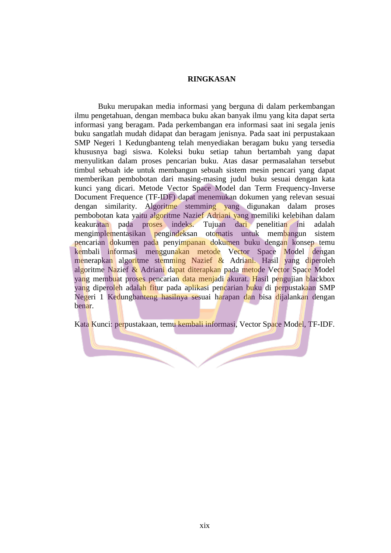## **RINGKASAN**

Buku merupakan media informasi yang berguna di dalam perkembangan ilmu pengetahuan, dengan membaca buku akan banyak ilmu yang kita dapat serta informasi yang beragam. Pada perkembangan era informasi saat ini segala jenis buku sangatlah mudah didapat dan beragam jenisnya. Pada saat ini perpustakaan SMP Negeri 1 Kedungbanteng telah menyediakan beragam buku yang tersedia khususnya bagi siswa. Koleksi buku setiap tahun bertambah yang dapat menyulitkan dalam proses pencarian buku. Atas dasar permasalahan tersebut timbul sebuah ide untuk membangun sebuah sistem mesin pencari yang dapat memberikan pembobotan dari masing-masing judul buku sesuai dengan kata kunci yang dicari. Metode Vector Space Model dan Term Frequency-Inverse Document Frequence (TF-IDF) dapat menemukan dokumen yang relevan sesuai dengan similarity. Algoritme stemming yang digunakan dalam proses pembobotan kata yaitu algoritme Nazief Adriani yang memiliki kelebihan dalam keakuratan pada proses indeks. Tujuan dari penelitian ini adalah mengimplementasikan pengindeksan otomatis untuk membangun sistem pencarian dokumen pada penyimpanan dokumen buku dengan konsep temu kembali informasi menggunakan metode Vector Space Model dengan menerapkan algoritme stemming Nazief & Adriani. Hasil yang diperoleh algoritme Nazief & Adriani dapat diterapkan pada metode Vector Space Model yang membuat proses pencarian data menjadi akurat. Hasil pengujian blackbox yang diperoleh adalah fitur pada aplikasi pencarian buku di perpustakaan SMP Negeri 1 Kedungbanteng hasilnya sesuai harapan dan bisa dijalankan dengan benar.

Kata Kunci: perpustakaan, temu kembali informasi, Vector Space Model, TF-IDF.